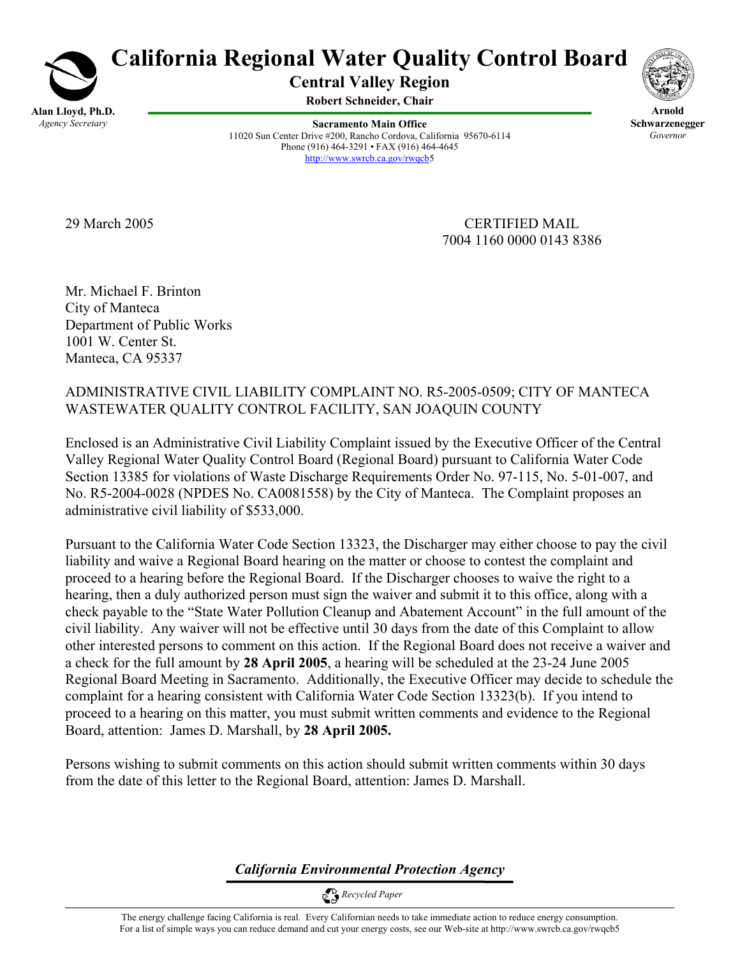

# **California Regional Water Quality Control Board**

**Central Valley Region** 

**Robert Schneider, Chair**

**Sacramento Main Office** 11020 Sun Center Drive #200, Rancho Cordova, California 95670-6114 Phone (916) 464-3291 • FAX (916) 464-4645 http://www.swrcb.ca.gov/rwqcb5



**Arnold Schwarzenegger** *Governor* 

29 March 2005 CERTIFIED MAIL 7004 1160 0000 0143 8386

Mr. Michael F. Brinton City of Manteca Department of Public Works 1001 W. Center St. Manteca, CA 95337

ADMINISTRATIVE CIVIL LIABILITY COMPLAINT NO. R5-2005-0509; CITY OF MANTECA WASTEWATER QUALITY CONTROL FACILITY, SAN JOAQUIN COUNTY

Enclosed is an Administrative Civil Liability Complaint issued by the Executive Officer of the Central Valley Regional Water Quality Control Board (Regional Board) pursuant to California Water Code Section 13385 for violations of Waste Discharge Requirements Order No. 97-115, No. 5-01-007, and No. R5-2004-0028 (NPDES No. CA0081558) by the City of Manteca. The Complaint proposes an administrative civil liability of \$533,000.

Pursuant to the California Water Code Section 13323, the Discharger may either choose to pay the civil liability and waive a Regional Board hearing on the matter or choose to contest the complaint and proceed to a hearing before the Regional Board. If the Discharger chooses to waive the right to a hearing, then a duly authorized person must sign the waiver and submit it to this office, along with a check payable to the "State Water Pollution Cleanup and Abatement Account" in the full amount of the civil liability. Any waiver will not be effective until 30 days from the date of this Complaint to allow other interested persons to comment on this action. If the Regional Board does not receive a waiver and a check for the full amount by **28 April 2005**, a hearing will be scheduled at the 23-24 June 2005 Regional Board Meeting in Sacramento. Additionally, the Executive Officer may decide to schedule the complaint for a hearing consistent with California Water Code Section 13323(b). If you intend to proceed to a hearing on this matter, you must submit written comments and evidence to the Regional Board, attention: James D. Marshall, by **28 April 2005.** 

Persons wishing to submit comments on this action should submit written comments within 30 days from the date of this letter to the Regional Board, attention: James D. Marshall.

*California Environmental Protection Agency*

 *Recycled Paper*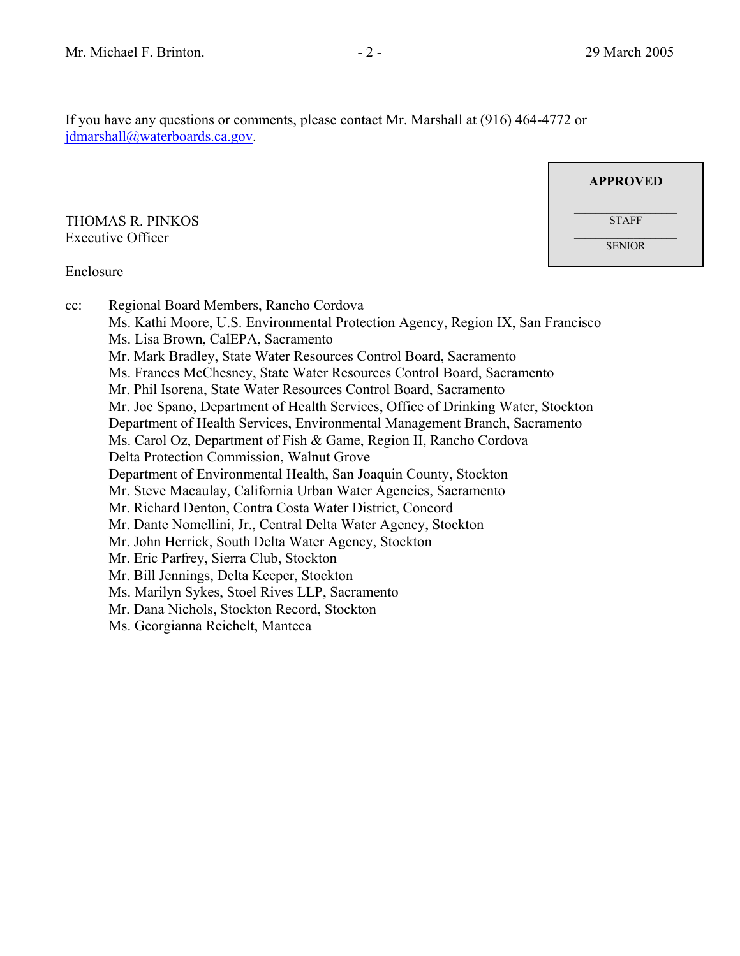If you have any questions or comments, please contact Mr. Marshall at (916) 464-4772 or jdmarshall@waterboards.ca.gov.

THOMAS R. PINKOS Executive Officer

**APPROVED**  $\mathcal{L}_\text{max}$ **STAFF** SENIOR

#### Enclosure

cc: Regional Board Members, Rancho Cordova Ms. Kathi Moore, U.S. Environmental Protection Agency, Region IX, San Francisco Ms. Lisa Brown, CalEPA, Sacramento Mr. Mark Bradley, State Water Resources Control Board, Sacramento Ms. Frances McChesney, State Water Resources Control Board, Sacramento Mr. Phil Isorena, State Water Resources Control Board, Sacramento Mr. Joe Spano, Department of Health Services, Office of Drinking Water, Stockton Department of Health Services, Environmental Management Branch, Sacramento Ms. Carol Oz, Department of Fish & Game, Region II, Rancho Cordova Delta Protection Commission, Walnut Grove Department of Environmental Health, San Joaquin County, Stockton Mr. Steve Macaulay, California Urban Water Agencies, Sacramento Mr. Richard Denton, Contra Costa Water District, Concord Mr. Dante Nomellini, Jr., Central Delta Water Agency, Stockton Mr. John Herrick, South Delta Water Agency, Stockton Mr. Eric Parfrey, Sierra Club, Stockton Mr. Bill Jennings, Delta Keeper, Stockton Ms. Marilyn Sykes, Stoel Rives LLP, Sacramento Mr. Dana Nichols, Stockton Record, Stockton Ms. Georgianna Reichelt, Manteca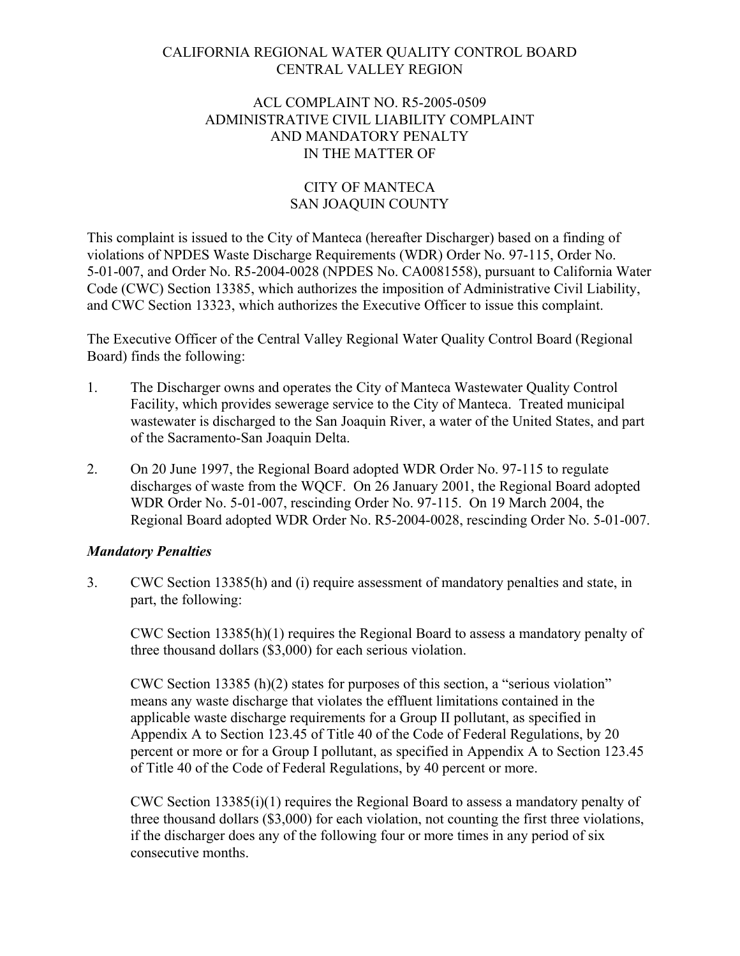# CALIFORNIA REGIONAL WATER QUALITY CONTROL BOARD CENTRAL VALLEY REGION

## ACL COMPLAINT NO. R5-2005-0509 ADMINISTRATIVE CIVIL LIABILITY COMPLAINT AND MANDATORY PENALTY IN THE MATTER OF

# CITY OF MANTECA SAN JOAQUIN COUNTY

This complaint is issued to the City of Manteca (hereafter Discharger) based on a finding of violations of NPDES Waste Discharge Requirements (WDR) Order No. 97-115, Order No. 5-01-007, and Order No. R5-2004-0028 (NPDES No. CA0081558), pursuant to California Water Code (CWC) Section 13385, which authorizes the imposition of Administrative Civil Liability, and CWC Section 13323, which authorizes the Executive Officer to issue this complaint.

The Executive Officer of the Central Valley Regional Water Quality Control Board (Regional Board) finds the following:

- 1. The Discharger owns and operates the City of Manteca Wastewater Quality Control Facility, which provides sewerage service to the City of Manteca. Treated municipal wastewater is discharged to the San Joaquin River, a water of the United States, and part of the Sacramento-San Joaquin Delta.
- 2. On 20 June 1997, the Regional Board adopted WDR Order No. 97-115 to regulate discharges of waste from the WQCF. On 26 January 2001, the Regional Board adopted WDR Order No. 5-01-007, rescinding Order No. 97-115. On 19 March 2004, the Regional Board adopted WDR Order No. R5-2004-0028, rescinding Order No. 5-01-007.

# *Mandatory Penalties*

3. CWC Section 13385(h) and (i) require assessment of mandatory penalties and state, in part, the following:

CWC Section 13385(h)(1) requires the Regional Board to assess a mandatory penalty of three thousand dollars (\$3,000) for each serious violation.

CWC Section 13385 (h)(2) states for purposes of this section, a "serious violation" means any waste discharge that violates the effluent limitations contained in the applicable waste discharge requirements for a Group II pollutant, as specified in Appendix A to Section 123.45 of Title 40 of the Code of Federal Regulations, by 20 percent or more or for a Group I pollutant, as specified in Appendix A to Section 123.45 of Title 40 of the Code of Federal Regulations, by 40 percent or more.

CWC Section 13385(i)(1) requires the Regional Board to assess a mandatory penalty of three thousand dollars (\$3,000) for each violation, not counting the first three violations, if the discharger does any of the following four or more times in any period of six consecutive months.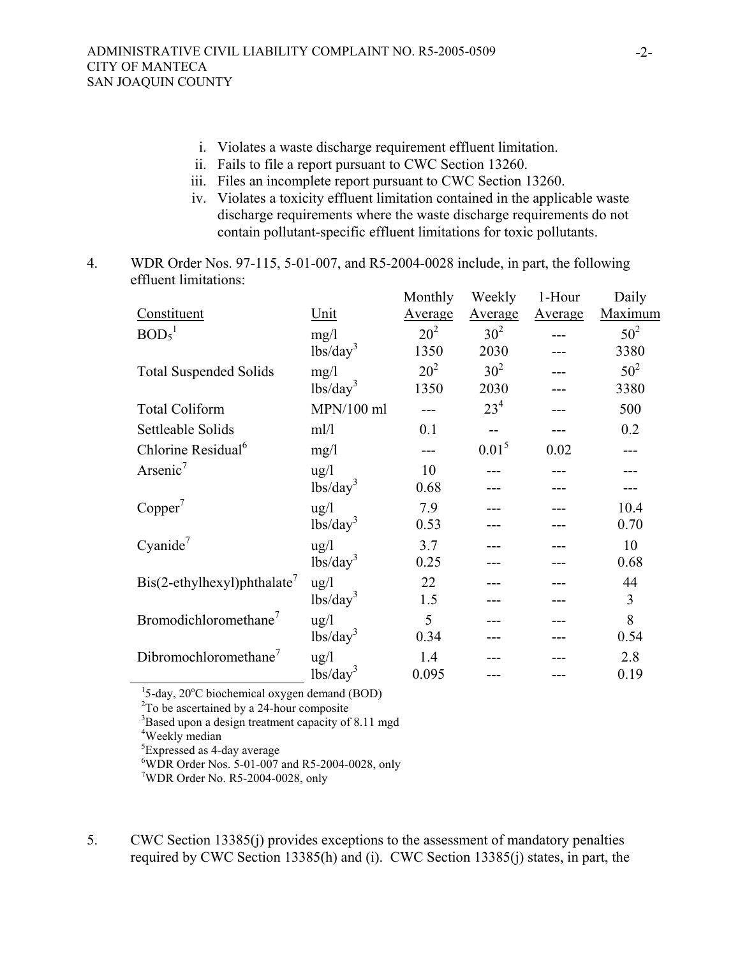- i. Violates a waste discharge requirement effluent limitation.
- ii. Fails to file a report pursuant to CWC Section 13260.
- iii. Files an incomplete report pursuant to CWC Section 13260.
- iv. Violates a toxicity effluent limitation contained in the applicable waste discharge requirements where the waste discharge requirements do not contain pollutant-specific effluent limitations for toxic pollutants.
- 4. WDR Order Nos. 97-115, 5-01-007, and R5-2004-0028 include, in part, the following effluent limitations:

|                                                                             |                                                | Monthly | Weekly          | 1-Hour  | Daily   |
|-----------------------------------------------------------------------------|------------------------------------------------|---------|-----------------|---------|---------|
| Constituent                                                                 | Unit                                           | Average | Average         | Average | Maximum |
| BOD <sub>5</sub> <sup>1</sup>                                               | mg/1                                           | $20^2$  | 30 <sup>2</sup> |         | $50^2$  |
|                                                                             | lbs/day <sup>3</sup>                           | 1350    | 2030            |         | 3380    |
| <b>Total Suspended Solids</b>                                               | mg/l                                           | $20^2$  | 30 <sup>2</sup> |         | $50^2$  |
|                                                                             | $\frac{1}{\text{bs}}\cdot\text{day}^3$         | 1350    | 2030            |         | 3380    |
| <b>Total Coliform</b>                                                       | $MPN/100$ ml                                   |         | 23 <sup>4</sup> |         | 500     |
| Settleable Solids                                                           | ml/l                                           | 0.1     | $-$             |         | 0.2     |
| Chlorine Residual <sup>6</sup>                                              | mg/1                                           |         | $0.01^5$        | 0.02    |         |
| Arsenic <sup>7</sup>                                                        | $\frac{u g}{l}$                                | 10      |                 |         |         |
|                                                                             | lbs/day <sup>3</sup>                           | 0.68    |                 |         |         |
| Copper <sup>7</sup>                                                         | $\frac{u g}{l}$                                | 7.9     |                 |         | 10.4    |
|                                                                             | $lbs/day^3$                                    | 0.53    |                 |         | 0.70    |
| Cyanide <sup>7</sup>                                                        | ug/l                                           | 3.7     |                 |         | 10      |
|                                                                             | $lbs/day^3$                                    | 0.25    |                 |         | 0.68    |
| $\text{Bis}(2-\text{ethylhexyl})$ phthalate                                 | ug/l                                           | 22      |                 |         | 44      |
|                                                                             | $\frac{1}{\text{bs}}\left(\text{day}^3\right)$ | 1.5     |                 |         | 3       |
| Bromodichloromethane <sup>7</sup>                                           | $\frac{u g}{l}$                                | 5       |                 |         | 8       |
|                                                                             | $\frac{1}{\text{bs}}\left(\text{day}^3\right)$ | 0.34    |                 |         | 0.54    |
| Dibromochloromethane <sup>7</sup>                                           | $\frac{u}{g}$                                  | 1.4     |                 |         | 2.8     |
|                                                                             | $lbs/day^3$                                    | 0.095   |                 |         | 0.19    |
| <sup>1</sup> 5-day, 20 $\mathrm{^{\circ}C}$ biochemical oxygen demand (BOD) |                                                |         |                 |         |         |
| $2T_0$ be convergined by a 24 hour composite                                |                                                |         |                 |         |         |

 $2^2$ To be ascertained by a 24-hour composite

<sup>3</sup>Based upon a design treatment capacity of 8.11 mgd

4 Weekly median

<sup>5</sup>Expressed as 4-day average

<sup>7</sup>WDR Order No. R5-2004-0028, only

5. CWC Section 13385(j) provides exceptions to the assessment of mandatory penalties required by CWC Section 13385(h) and (i). CWC Section 13385(j) states, in part, the

<sup>6</sup> WDR Order Nos. 5-01-007 and R5-2004-0028, only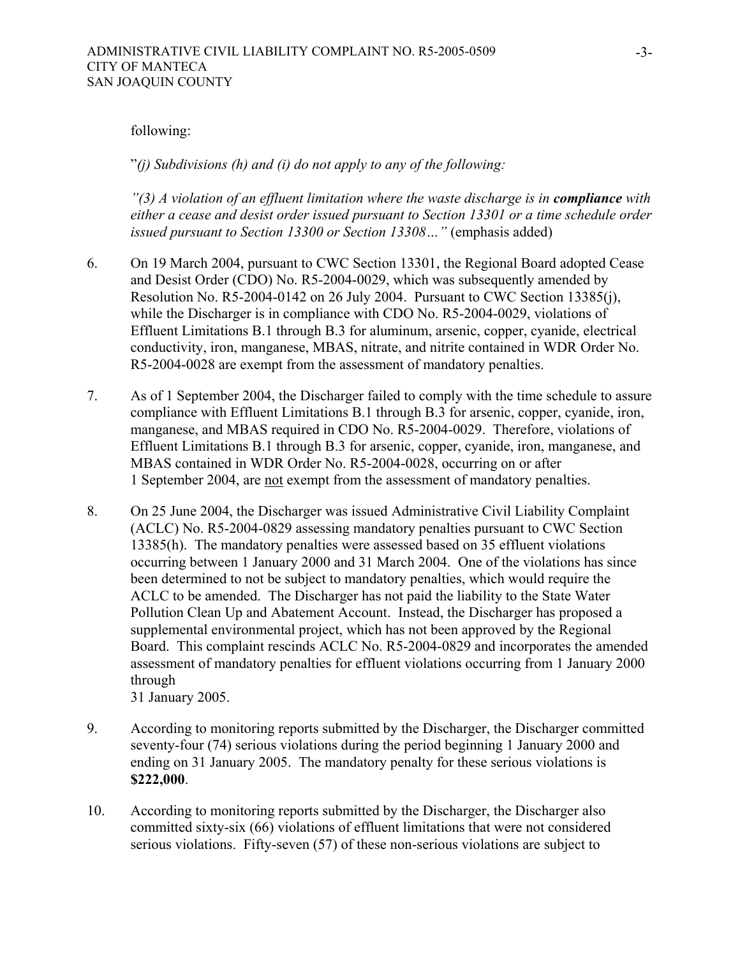#### following:

"*(j) Subdivisions (h) and (i) do not apply to any of the following:*

*"(3) A violation of an effluent limitation where the waste discharge is in <i>compliance* with *either a cease and desist order issued pursuant to Section 13301 or a time schedule order issued pursuant to Section 13300 or Section 13308...* " (emphasis added)

- 6. On 19 March 2004, pursuant to CWC Section 13301, the Regional Board adopted Cease and Desist Order (CDO) No. R5-2004-0029, which was subsequently amended by Resolution No. R5-2004-0142 on 26 July 2004. Pursuant to CWC Section 13385(j), while the Discharger is in compliance with CDO No. R5-2004-0029, violations of Effluent Limitations B.1 through B.3 for aluminum, arsenic, copper, cyanide, electrical conductivity, iron, manganese, MBAS, nitrate, and nitrite contained in WDR Order No. R5-2004-0028 are exempt from the assessment of mandatory penalties.
- 7. As of 1 September 2004, the Discharger failed to comply with the time schedule to assure compliance with Effluent Limitations B.1 through B.3 for arsenic, copper, cyanide, iron, manganese, and MBAS required in CDO No. R5-2004-0029. Therefore, violations of Effluent Limitations B.1 through B.3 for arsenic, copper, cyanide, iron, manganese, and MBAS contained in WDR Order No. R5-2004-0028, occurring on or after 1 September 2004, are not exempt from the assessment of mandatory penalties.
- 8. On 25 June 2004, the Discharger was issued Administrative Civil Liability Complaint (ACLC) No. R5-2004-0829 assessing mandatory penalties pursuant to CWC Section 13385(h). The mandatory penalties were assessed based on 35 effluent violations occurring between 1 January 2000 and 31 March 2004. One of the violations has since been determined to not be subject to mandatory penalties, which would require the ACLC to be amended. The Discharger has not paid the liability to the State Water Pollution Clean Up and Abatement Account. Instead, the Discharger has proposed a supplemental environmental project, which has not been approved by the Regional Board. This complaint rescinds ACLC No. R5-2004-0829 and incorporates the amended assessment of mandatory penalties for effluent violations occurring from 1 January 2000 through

31 January 2005.

- 9. According to monitoring reports submitted by the Discharger, the Discharger committed seventy-four (74) serious violations during the period beginning 1 January 2000 and ending on 31 January 2005. The mandatory penalty for these serious violations is **\$222,000**.
- 10. According to monitoring reports submitted by the Discharger, the Discharger also committed sixty-six (66) violations of effluent limitations that were not considered serious violations. Fifty-seven (57) of these non-serious violations are subject to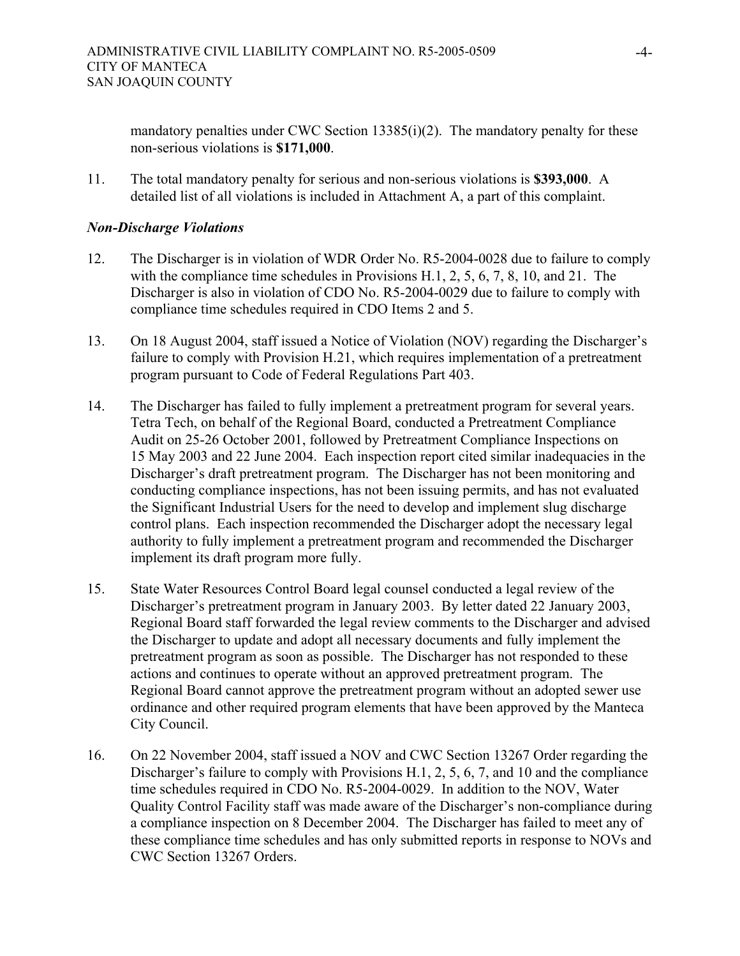mandatory penalties under CWC Section 13385(i)(2). The mandatory penalty for these non-serious violations is **\$171,000**.

11. The total mandatory penalty for serious and non-serious violations is **\$393,000**. A detailed list of all violations is included in Attachment A, a part of this complaint.

## *Non-Discharge Violations*

- 12. The Discharger is in violation of WDR Order No. R5-2004-0028 due to failure to comply with the compliance time schedules in Provisions H.1, 2, 5, 6, 7, 8, 10, and 21. The Discharger is also in violation of CDO No. R5-2004-0029 due to failure to comply with compliance time schedules required in CDO Items 2 and 5.
- 13. On 18 August 2004, staff issued a Notice of Violation (NOV) regarding the Discharger's failure to comply with Provision H.21, which requires implementation of a pretreatment program pursuant to Code of Federal Regulations Part 403.
- 14. The Discharger has failed to fully implement a pretreatment program for several years. Tetra Tech, on behalf of the Regional Board, conducted a Pretreatment Compliance Audit on 25-26 October 2001, followed by Pretreatment Compliance Inspections on 15 May 2003 and 22 June 2004. Each inspection report cited similar inadequacies in the Discharger's draft pretreatment program. The Discharger has not been monitoring and conducting compliance inspections, has not been issuing permits, and has not evaluated the Significant Industrial Users for the need to develop and implement slug discharge control plans. Each inspection recommended the Discharger adopt the necessary legal authority to fully implement a pretreatment program and recommended the Discharger implement its draft program more fully.
- 15. State Water Resources Control Board legal counsel conducted a legal review of the Discharger's pretreatment program in January 2003. By letter dated 22 January 2003, Regional Board staff forwarded the legal review comments to the Discharger and advised the Discharger to update and adopt all necessary documents and fully implement the pretreatment program as soon as possible. The Discharger has not responded to these actions and continues to operate without an approved pretreatment program. The Regional Board cannot approve the pretreatment program without an adopted sewer use ordinance and other required program elements that have been approved by the Manteca City Council.
- 16. On 22 November 2004, staff issued a NOV and CWC Section 13267 Order regarding the Discharger's failure to comply with Provisions H.1, 2, 5, 6, 7, and 10 and the compliance time schedules required in CDO No. R5-2004-0029. In addition to the NOV, Water Quality Control Facility staff was made aware of the Discharger's non-compliance during a compliance inspection on 8 December 2004. The Discharger has failed to meet any of these compliance time schedules and has only submitted reports in response to NOVs and CWC Section 13267 Orders.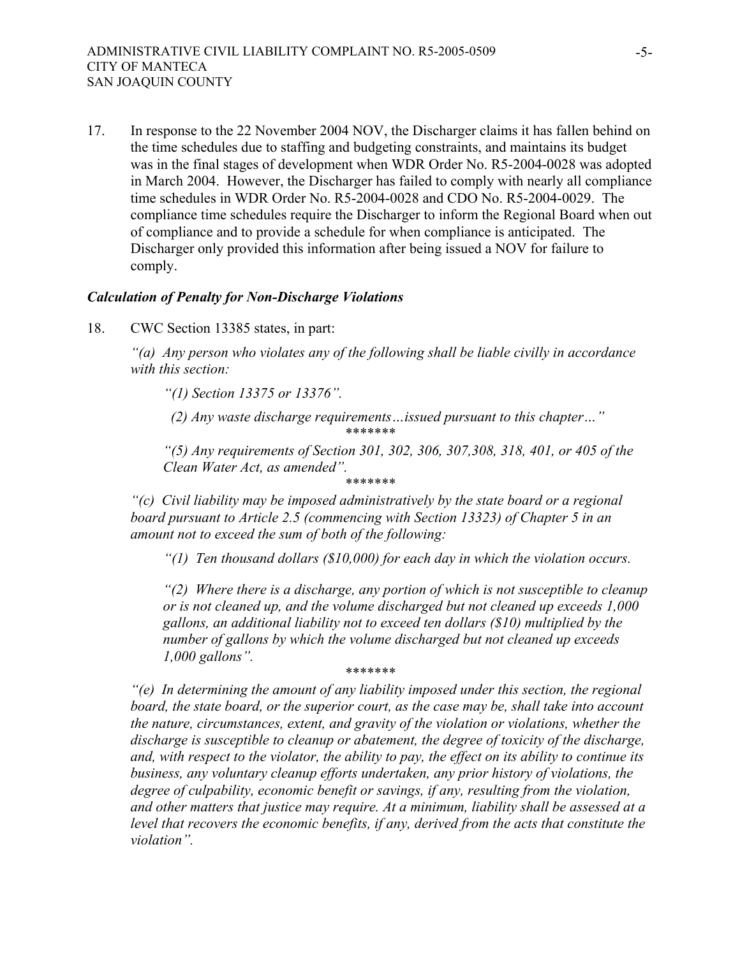17. In response to the 22 November 2004 NOV, the Discharger claims it has fallen behind on the time schedules due to staffing and budgeting constraints, and maintains its budget was in the final stages of development when WDR Order No. R5-2004-0028 was adopted in March 2004. However, the Discharger has failed to comply with nearly all compliance time schedules in WDR Order No. R5-2004-0028 and CDO No. R5-2004-0029. The compliance time schedules require the Discharger to inform the Regional Board when out of compliance and to provide a schedule for when compliance is anticipated. The Discharger only provided this information after being issued a NOV for failure to comply.

#### *Calculation of Penalty for Non-Discharge Violations*

18. CWC Section 13385 states, in part:

*"(a) Any person who violates any of the following shall be liable civilly in accordance with this section:* 

*"(1) Section 13375 or 13376".* 

 *(2) Any waste discharge requirements…issued pursuant to this chapter…" \*\*\*\*\*\*\** 

*"(5) Any requirements of Section 301, 302, 306, 307,308, 318, 401, or 405 of the Clean Water Act, as amended".*

*\*\*\*\*\*\*\** 

*"(c) Civil liability may be imposed administratively by the state board or a regional board pursuant to Article 2.5 (commencing with Section 13323) of Chapter 5 in an amount not to exceed the sum of both of the following:* 

*"(1) Ten thousand dollars (\$10,000) for each day in which the violation occurs.* 

*"(2) Where there is a discharge, any portion of which is not susceptible to cleanup or is not cleaned up, and the volume discharged but not cleaned up exceeds 1,000 gallons, an additional liability not to exceed ten dollars (\$10) multiplied by the number of gallons by which the volume discharged but not cleaned up exceeds 1,000 gallons". \*\*\*\*\*\*\** 

*"(e) In determining the amount of any liability imposed under this section, the regional board, the state board, or the superior court, as the case may be, shall take into account the nature, circumstances, extent, and gravity of the violation or violations, whether the discharge is susceptible to cleanup or abatement, the degree of toxicity of the discharge, and, with respect to the violator, the ability to pay, the effect on its ability to continue its business, any voluntary cleanup efforts undertaken, any prior history of violations, the degree of culpability, economic benefit or savings, if any, resulting from the violation, and other matters that justice may require. At a minimum, liability shall be assessed at a level that recovers the economic benefits, if any, derived from the acts that constitute the violation".*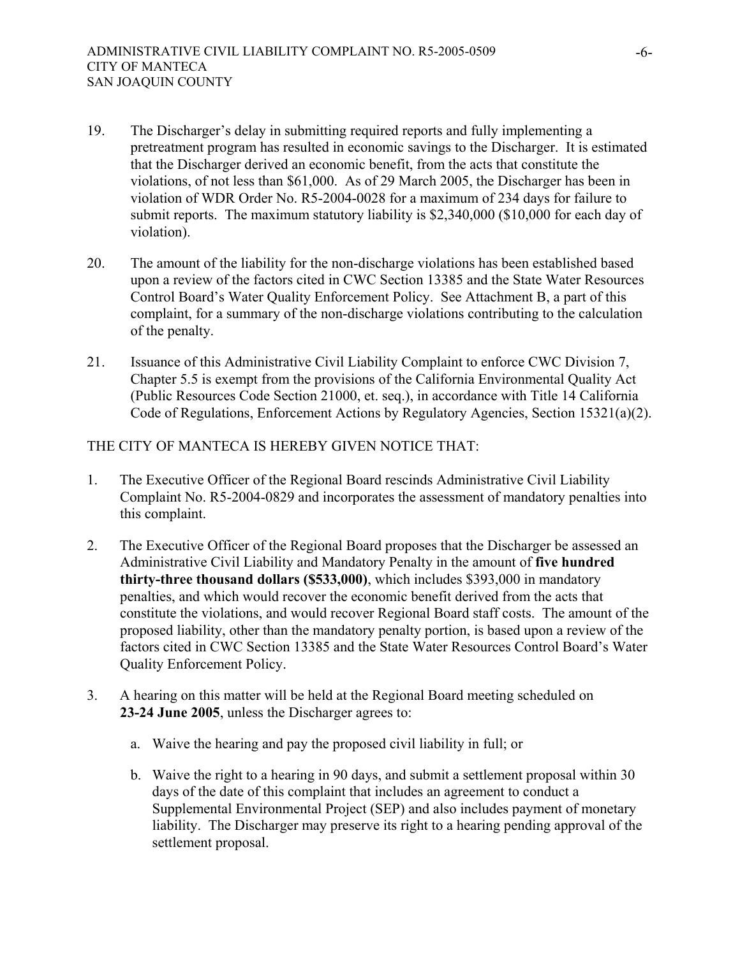- 19. The Discharger's delay in submitting required reports and fully implementing a pretreatment program has resulted in economic savings to the Discharger. It is estimated that the Discharger derived an economic benefit, from the acts that constitute the violations, of not less than \$61,000. As of 29 March 2005, the Discharger has been in violation of WDR Order No. R5-2004-0028 for a maximum of 234 days for failure to submit reports. The maximum statutory liability is \$2,340,000 (\$10,000 for each day of violation).
- 20. The amount of the liability for the non-discharge violations has been established based upon a review of the factors cited in CWC Section 13385 and the State Water Resources Control Board's Water Quality Enforcement Policy. See Attachment B, a part of this complaint, for a summary of the non-discharge violations contributing to the calculation of the penalty.
- 21. Issuance of this Administrative Civil Liability Complaint to enforce CWC Division 7, Chapter 5.5 is exempt from the provisions of the California Environmental Quality Act (Public Resources Code Section 21000, et. seq.), in accordance with Title 14 California Code of Regulations, Enforcement Actions by Regulatory Agencies, Section 15321(a)(2).

## THE CITY OF MANTECA IS HEREBY GIVEN NOTICE THAT:

- 1. The Executive Officer of the Regional Board rescinds Administrative Civil Liability Complaint No. R5-2004-0829 and incorporates the assessment of mandatory penalties into this complaint.
- 2. The Executive Officer of the Regional Board proposes that the Discharger be assessed an Administrative Civil Liability and Mandatory Penalty in the amount of **five hundred thirty-three thousand dollars (\$533,000)**, which includes \$393,000 in mandatory penalties, and which would recover the economic benefit derived from the acts that constitute the violations, and would recover Regional Board staff costs. The amount of the proposed liability, other than the mandatory penalty portion, is based upon a review of the factors cited in CWC Section 13385 and the State Water Resources Control Board's Water Quality Enforcement Policy.
- 3. A hearing on this matter will be held at the Regional Board meeting scheduled on **23-24 June 2005**, unless the Discharger agrees to:
	- a. Waive the hearing and pay the proposed civil liability in full; or
	- b. Waive the right to a hearing in 90 days, and submit a settlement proposal within 30 days of the date of this complaint that includes an agreement to conduct a Supplemental Environmental Project (SEP) and also includes payment of monetary liability. The Discharger may preserve its right to a hearing pending approval of the settlement proposal.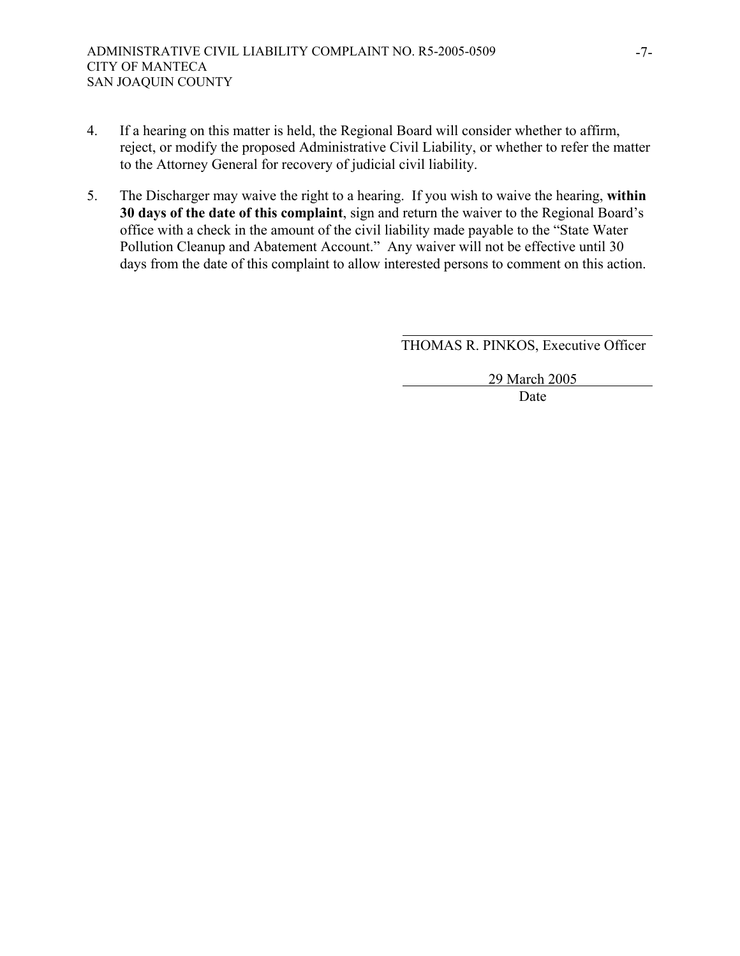- 4. If a hearing on this matter is held, the Regional Board will consider whether to affirm, reject, or modify the proposed Administrative Civil Liability, or whether to refer the matter to the Attorney General for recovery of judicial civil liability.
- 5. The Discharger may waive the right to a hearing. If you wish to waive the hearing, **within 30 days of the date of this complaint**, sign and return the waiver to the Regional Board's office with a check in the amount of the civil liability made payable to the "State Water Pollution Cleanup and Abatement Account." Any waiver will not be effective until 30 days from the date of this complaint to allow interested persons to comment on this action.

THOMAS R. PINKOS, Executive Officer

 29 March 2005 **Date**